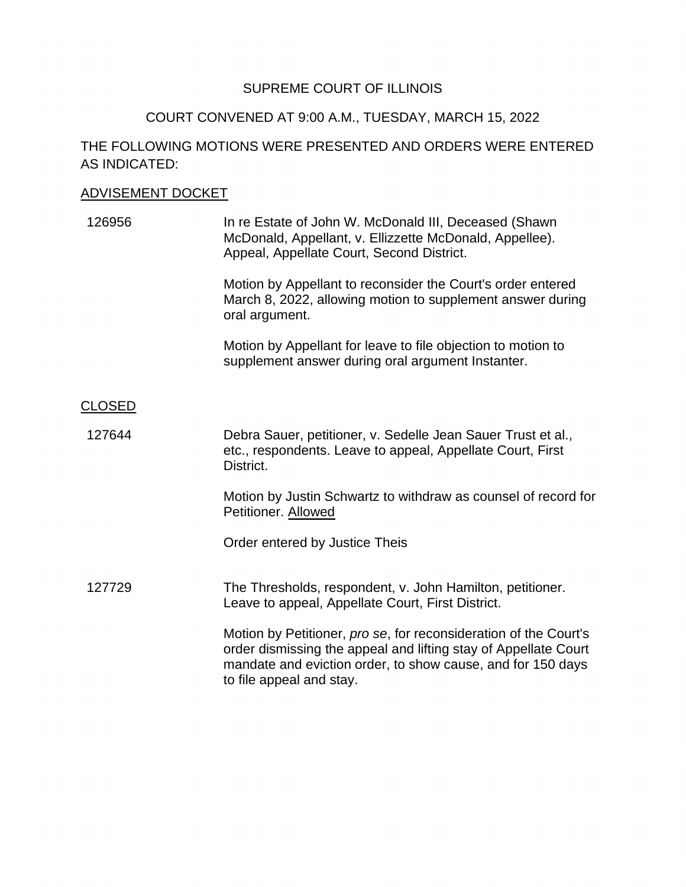## SUPREME COURT OF ILLINOIS

### COURT CONVENED AT 9:00 A.M., TUESDAY, MARCH 15, 2022

# THE FOLLOWING MOTIONS WERE PRESENTED AND ORDERS WERE ENTERED AS INDICATED:

#### ADVISEMENT DOCKET

| 126956 | In re Estate of John W. McDonald III, Deceased (Shawn)<br>McDonald, Appellant, v. Ellizzette McDonald, Appellee).<br>Appeal, Appellate Court, Second District. |
|--------|----------------------------------------------------------------------------------------------------------------------------------------------------------------|
|        |                                                                                                                                                                |

 March 8, 2022, allowing motion to supplement answer during Motion by Appellant to reconsider the Court's order entered oral argument.

Motion by Appellant for leave to file objection to motion to supplement answer during oral argument Instanter.

### CLOSED

127644 Debra Sauer, petitioner, v. Sedelle Jean Sauer Trust et al., etc., respondents. Leave to appeal, Appellate Court, First District.

> Motion by Justin Schwartz to withdraw as counsel of record for Petitioner. Allowed

Order entered by Justice Theis

#### 127729 The Thresholds, respondent, v. John Hamilton, petitioner. Leave to appeal, Appellate Court, First District.

 mandate and eviction order, to show cause, and for 150 days Motion by Petitioner, *pro se*, for reconsideration of the Court's order dismissing the appeal and lifting stay of Appellate Court to file appeal and stay.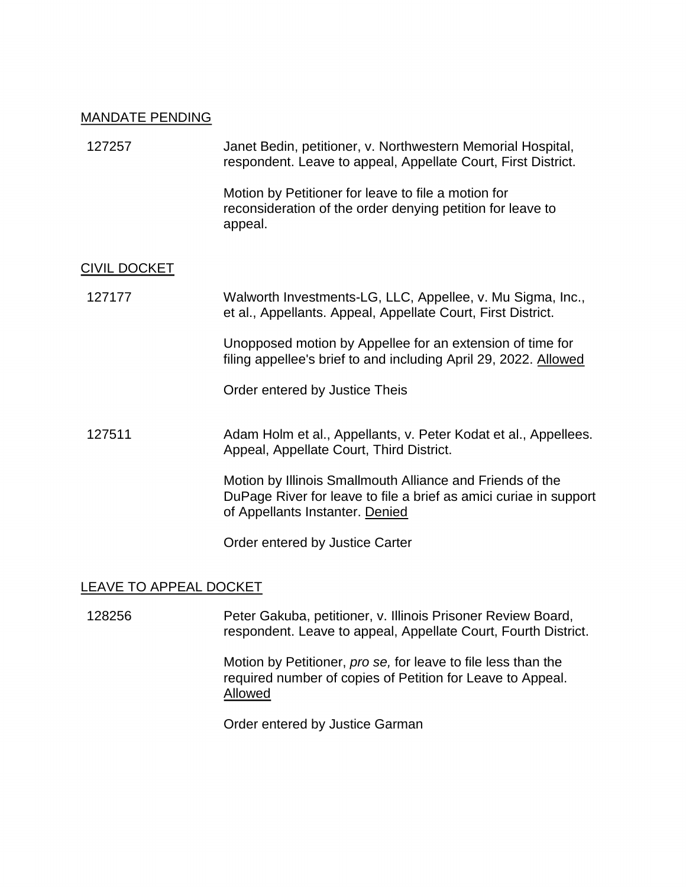#### MANDATE PENDING

| 127257              | Janet Bedin, petitioner, v. Northwestern Memorial Hospital,<br>respondent. Leave to appeal, Appellate Court, First District.                                      |
|---------------------|-------------------------------------------------------------------------------------------------------------------------------------------------------------------|
|                     | Motion by Petitioner for leave to file a motion for<br>reconsideration of the order denying petition for leave to<br>appeal.                                      |
| <b>CIVIL DOCKET</b> |                                                                                                                                                                   |
| 127177              | Walworth Investments-LG, LLC, Appellee, v. Mu Sigma, Inc.,<br>et al., Appellants. Appeal, Appellate Court, First District.                                        |
|                     | Unopposed motion by Appellee for an extension of time for<br>filing appellee's brief to and including April 29, 2022. Allowed                                     |
|                     | Order entered by Justice Theis                                                                                                                                    |
| 127511              | Adam Holm et al., Appellants, v. Peter Kodat et al., Appellees.<br>Appeal, Appellate Court, Third District.                                                       |
|                     | Motion by Illinois Smallmouth Alliance and Friends of the<br>DuPage River for leave to file a brief as amici curiae in support<br>of Appellants Instanter. Denied |
|                     | Order entered by Justice Carter                                                                                                                                   |

# LEAVE TO APPEAL DOCKET

 128256 Peter Gakuba, petitioner, v. Illinois Prisoner Review Board, respondent. Leave to appeal, Appellate Court, Fourth District.

> Motion by Petitioner, *pro se,* for leave to file less than the required number of copies of Petition for Leave to Appeal. Allowed

Order entered by Justice Garman